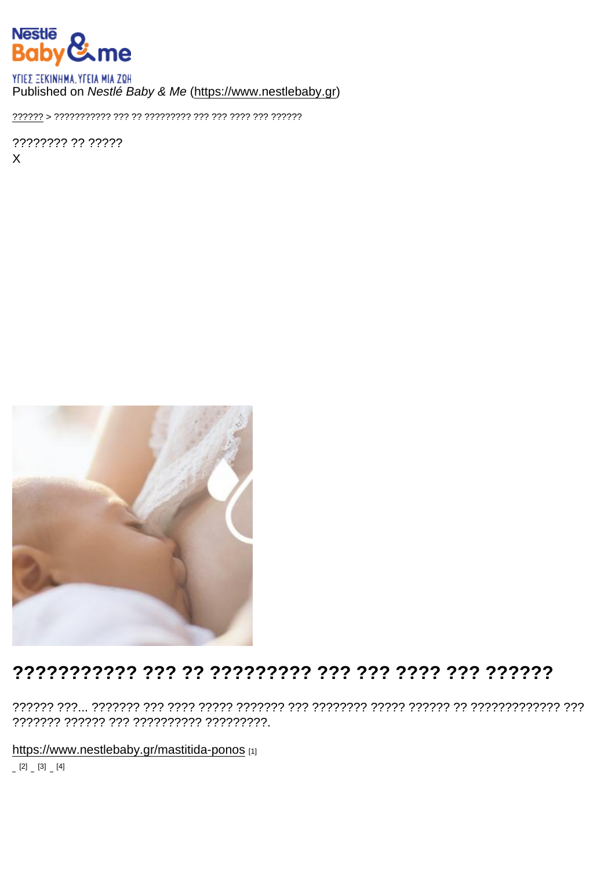## Published on Nestlé Baby & Me (https://www.nestlebaby.gr)

???????? ?? ?????  $\mathsf{X}$ 

## 

https://www.nestlebaby.gr/mastitida-ponos [1]

 $[2] [3] [4]$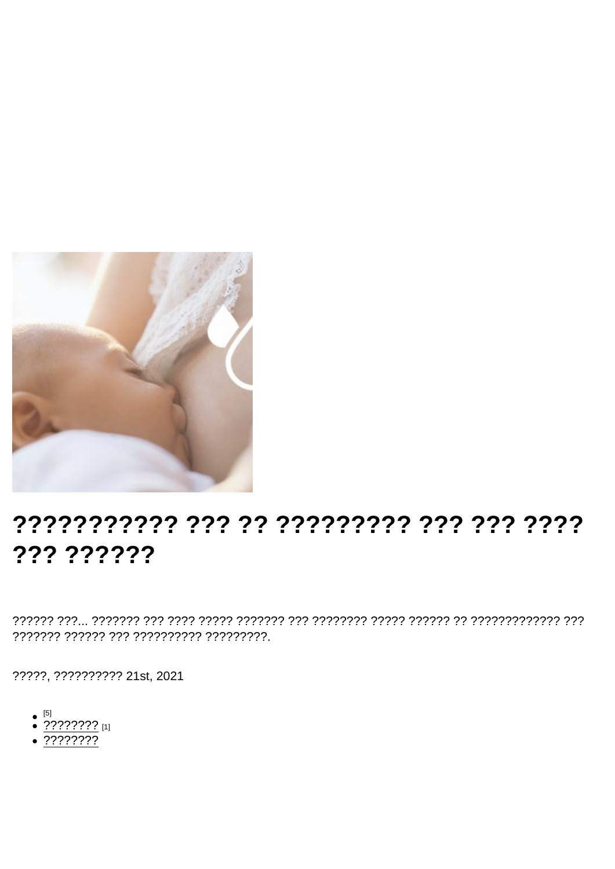## ??????????? ??? ?????????? ??? ??? ???? ??? ??????

?????, ?????????? 21st, 2021

- $\bullet$  [5]
- $\bullet$  ???????? [1]
- $\sqrt{2222222}$